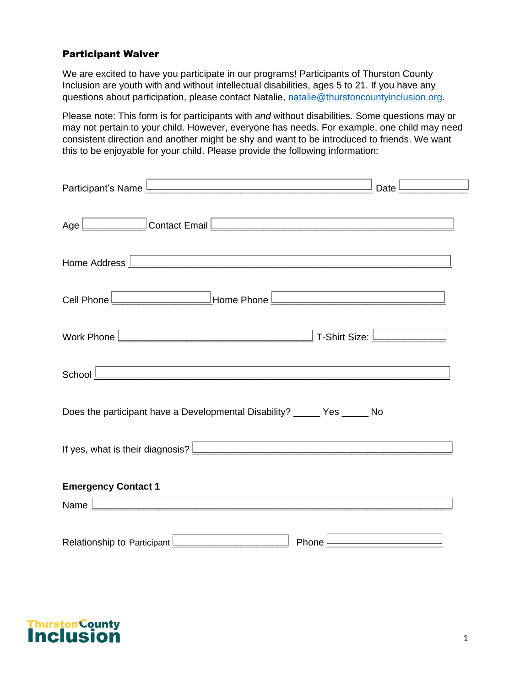# Participant Waiver

We are excited to have you participate in our programs! Participants of Thurston County Inclusion are youth with and without intellectual disabilities, ages 5 to 21. If you have any questions about participation, please contact Natalie, [natalie@thurstoncountyinclusion.org.](mailto:natalie@thurstoncountyinclusion.org)

Please note: This form is for participants with *and* without disabilities. Some questions may or may not pertain to your child. However, everyone has needs. For example, one child may need consistent direction and another might be shy and want to be introduced to friends. We want this to be enjoyable for your child. Please provide the following information:

| Participant's Name <u>Learn and the series of the series of the series of the series of the series of the series of</u><br>Date l                                                                                                             |
|-----------------------------------------------------------------------------------------------------------------------------------------------------------------------------------------------------------------------------------------------|
| Age Contact Email Contact Email Contact Email Contact Authority of the Superior Contact Email Contact Authority of the Superior Contact Authority of the Superior Contact Authority of the Superior Contact Authority of the S                |
| and the control of the control of the control of the control of the control of the control of the control of the<br>Home Address <u>Land Land Land Communications</u> and Land Communications and Land Communications and Land Communications |
| Cell Phone <u>Communication</u> Home Phone Communication and Phone Communication and Phone Communication and Phone Communication and Phone Communication and Phone Communication and Phone Communication and Phone Communication an           |
| Work Phone <u>Denverse Communications</u> T-Shirt Size: <u>Denverse Communications</u>                                                                                                                                                        |
| ,我们也不能在这里的时候,我们也不能在这里的时候,我们也不能会在这里的时候,我们也不能会在这里的时候,我们也不能会在这里的时候,我们也不能会在这里的时候,我们也                                                                                                                                                              |
| Does the participant have a Developmental Disability? $\Box$ Yes $\Box$ No                                                                                                                                                                    |
| If yes, what is their diagnosis? <u>Denverse and the set of the set of the set of the set of the set of the set of the set of the set of the set of the set of the set of the set of the set of the set of the set of the set of</u>          |
| <b>Emergency Contact 1</b><br>and the control of the control of the control of the control of the control of the control of the control of the                                                                                                |
| <u> 1980 - Andrea Aontaithe ann an t-Aontaithe ann an t-Aontaithe ann an t-Aontaithe ann an t-Aontaithe ann an t-</u><br>Name $\lfloor$                                                                                                       |
| Phone I                                                                                                                                                                                                                                       |

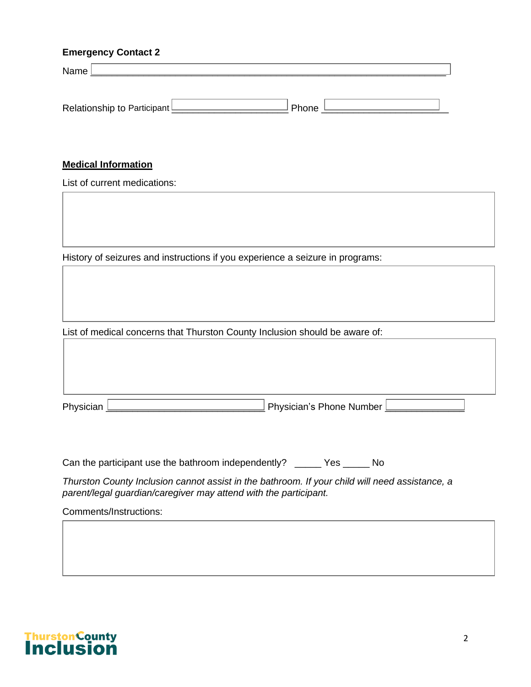# **Emergency Contact 2**

| Name                          |       |  |
|-------------------------------|-------|--|
|                               |       |  |
|                               |       |  |
| Relationship to Participant L | Phone |  |

# **Medical Information**

List of current medications:

History of seizures and instructions if you experience a seizure in programs:

List of medical concerns that Thurston County Inclusion should be aware of:

| Physician    | - Phone Number<br>$\sim$ nveicion's i<br>- ۱۳<br>nvsk |  |
|--------------|-------------------------------------------------------|--|
| $\mathbf{a}$ | ۱۱ اانان<br>. э г                                     |  |

Can the participant use the bathroom independently?  $\Box$  Yes  $\Box$  No

*Thurston County Inclusion cannot assist in the bathroom. If your child will need assistance, a parent/legal guardian/caregiver may attend with the participant.* 

Comments/Instructions:

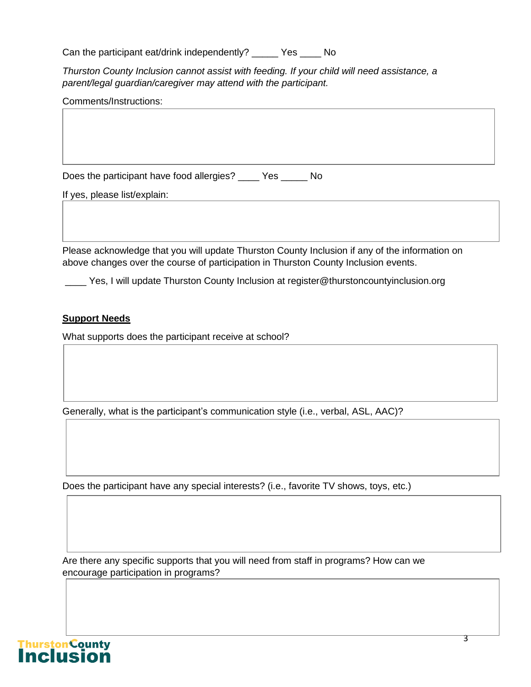| Can the participant eat/drink independently? $\Box$ Yes $\Box$ No |  |  |
|-------------------------------------------------------------------|--|--|
|                                                                   |  |  |

*Thurston County Inclusion cannot assist with feeding. If your child will need assistance, a parent/legal guardian/caregiver may attend with the participant.* 

| Does the participant have food allergies? $\boxed{\underline{\qquad}}$ Yes $\boxed{\underline{\qquad}}$ No |
|------------------------------------------------------------------------------------------------------------|
| If yes, please list/explain:                                                                               |
|                                                                                                            |
|                                                                                                            |

Please acknowledge that you will update Thurston County Inclusion if any of the information on above changes over the course of participation in Thurston County Inclusion events.

 $\perp$  Yes, I will update Thurston County Inclusion at register@thurstoncountyinclusion.org

# **Support Needs**

What supports does the participant receive at school?

Generally, what is the participant's communication style (i.e., verbal, ASL, AAC)?

Does the participant have any special interests? (i.e., favorite TV shows, toys, etc.)

Are there any specific supports that you will need from staff in programs? How can we encourage participation in programs?

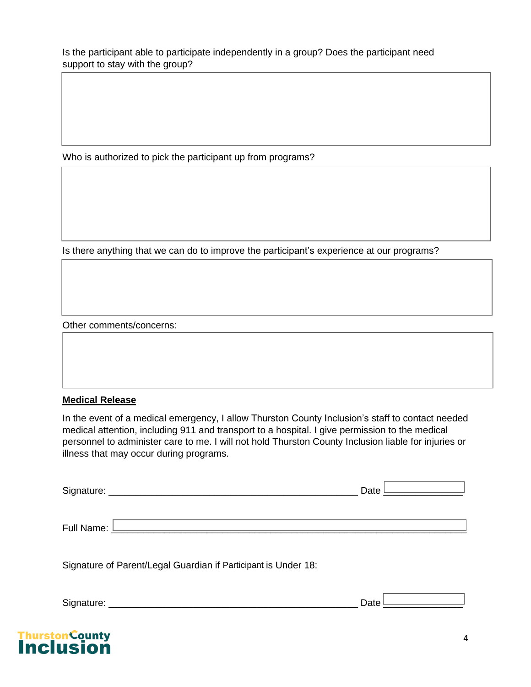Is the participant able to participate independently in a group? Does the participant need support to stay with the group?

Who is authorized to pick the participant up from programs?

Is there anything that we can do to improve the participant's experience at our programs?

Other comments/concerns:

#### **Medical Release**

In the event of a medical emergency, I allow Thurston County Inclusion's staff to contact needed medical attention, including 911 and transport to a hospital. I give permission to the medical personnel to administer care to me. I will not hold Thurston County Inclusion liable for injuries or illness that may occur during programs.

| Signature:     | Date $\lfloor$ |
|----------------|----------------|
| Full Name: $L$ |                |
|                |                |

Signature of Parent/Legal Guardian if Participant is Under 18:

Signature: \_\_\_\_\_\_\_\_\_\_\_\_\_\_\_\_\_\_\_\_\_\_\_\_\_\_\_\_\_\_\_\_\_\_\_\_\_\_\_\_\_\_\_\_\_\_\_ Date \_\_\_\_\_\_\_\_\_\_\_\_\_\_\_

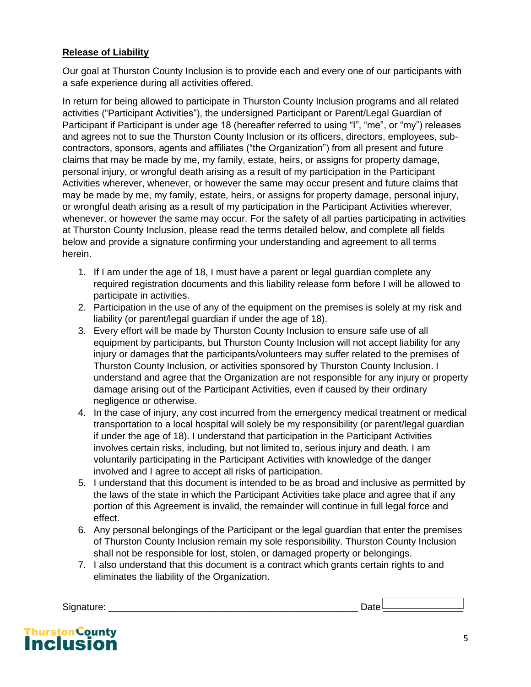# **Release of Liability**

Our goal at Thurston County Inclusion is to provide each and every one of our participants with a safe experience during all activities offered.

In return for being allowed to participate in Thurston County Inclusion programs and all related activities ("Participant Activities"), the undersigned Participant or Parent/Legal Guardian of Participant if Participant is under age 18 (hereafter referred to using "I", "me", or "my") releases and agrees not to sue the Thurston County Inclusion or its officers, directors, employees, subcontractors, sponsors, agents and affiliates ("the Organization") from all present and future claims that may be made by me, my family, estate, heirs, or assigns for property damage, personal injury, or wrongful death arising as a result of my participation in the Participant Activities wherever, whenever, or however the same may occur present and future claims that may be made by me, my family, estate, heirs, or assigns for property damage, personal injury, or wrongful death arising as a result of my participation in the Participant Activities wherever, whenever, or however the same may occur. For the safety of all parties participating in activities at Thurston County Inclusion, please read the terms detailed below, and complete all fields below and provide a signature confirming your understanding and agreement to all terms herein.

- 1. If I am under the age of 18, I must have a parent or legal guardian complete any required registration documents and this liability release form before I will be allowed to participate in activities.
- 2. Participation in the use of any of the equipment on the premises is solely at my risk and liability (or parent/legal guardian if under the age of 18).
- 3. Every effort will be made by Thurston County Inclusion to ensure safe use of all equipment by participants, but Thurston County Inclusion will not accept liability for any injury or damages that the participants/volunteers may suffer related to the premises of Thurston County Inclusion, or activities sponsored by Thurston County Inclusion. I understand and agree that the Organization are not responsible for any injury or property damage arising out of the Participant Activities, even if caused by their ordinary negligence or otherwise.
- 4. In the case of injury, any cost incurred from the emergency medical treatment or medical transportation to a local hospital will solely be my responsibility (or parent/legal guardian if under the age of 18). I understand that participation in the Participant Activities involves certain risks, including, but not limited to, serious injury and death. I am voluntarily participating in the Participant Activities with knowledge of the danger involved and I agree to accept all risks of participation.
- 5. I understand that this document is intended to be as broad and inclusive as permitted by the laws of the state in which the Participant Activities take place and agree that if any portion of this Agreement is invalid, the remainder will continue in full legal force and effect.
- 6. Any personal belongings of the Participant or the legal guardian that enter the premises of Thurston County Inclusion remain my sole responsibility. Thurston County Inclusion shall not be responsible for lost, stolen, or damaged property or belongings.
- 7. I also understand that this document is a contract which grants certain rights to and eliminates the liability of the Organization.

Signature: \_\_\_\_\_\_\_\_\_\_\_\_\_\_\_\_\_\_\_\_\_\_\_\_\_\_\_\_\_\_\_\_\_\_\_\_\_\_\_\_\_\_\_\_\_\_\_ Date \_\_\_\_\_\_\_\_\_\_\_\_\_\_\_